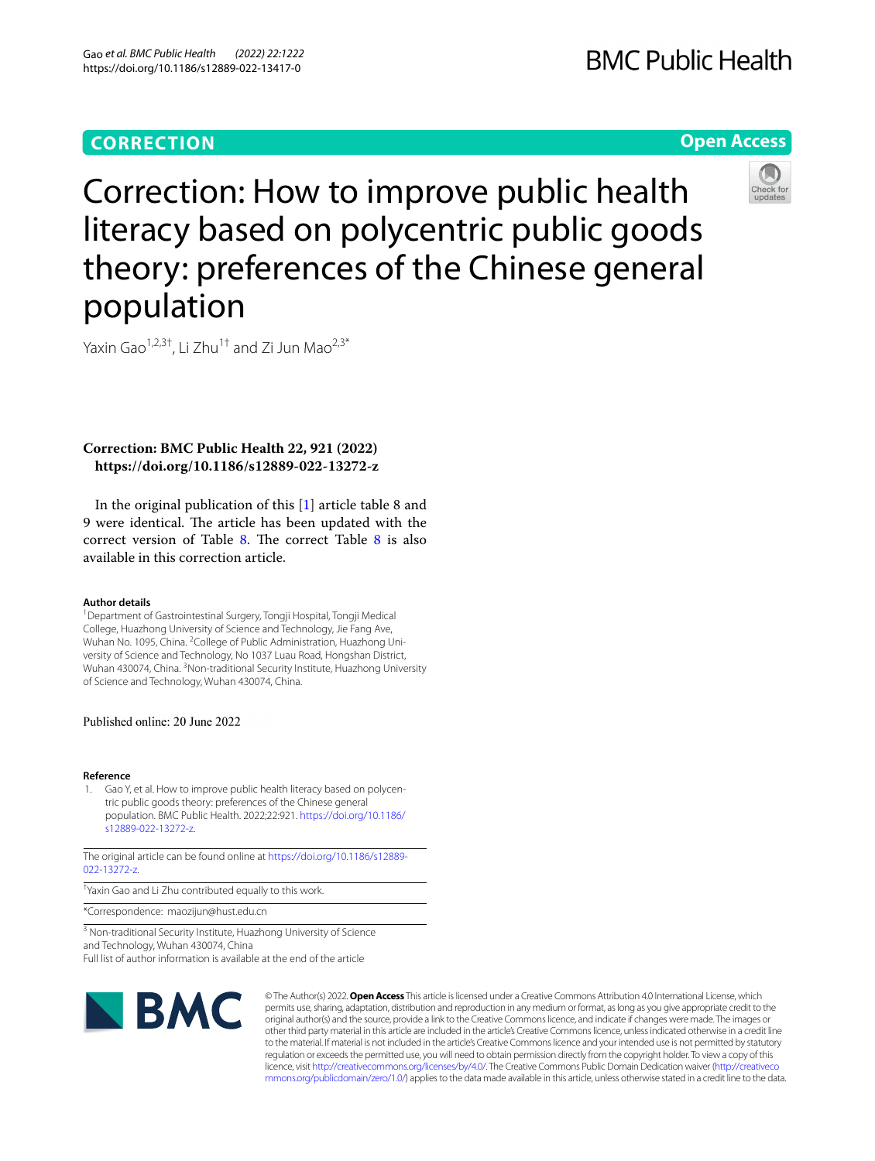# **CORRECTION**

# **BMC Public Health**

## **Open Access**



Correction: How to improve public health literacy based on polycentric public goods theory: preferences of the Chinese general population

Yaxin Gao<sup>1,2,3†</sup>, Li Zhu<sup>1†</sup> and Zi Jun Mao<sup>2,3\*</sup>

### **Correction: BMC Public Health 22, 921 (2022) https://doi.org/10.1186/s12889-022-13272-z**

In the original publication of this [\[1](#page-0-0)] article table 8 and 9 were identical. The article has been updated with the correct version of Table [8](#page-1-0). The correct Table  $8$  is also available in this correction article.

#### **Author details**

<sup>1</sup> Department of Gastrointestinal Surgery, Tongji Hospital, Tongji Medical College, Huazhong University of Science and Technology, Jie Fang Ave, Wuhan No. 1095, China. <sup>2</sup> College of Public Administration, Huazhong University of Science and Technology, No 1037 Luau Road, Hongshan District, Wuhan 430074, China. <sup>3</sup> Non-traditional Security Institute, Huazhong University of Science and Technology, Wuhan 430074, China.

#### Published online: 20 June 2022

#### **Reference**

<span id="page-0-0"></span>Gao Y, et al. How to improve public health literacy based on polycentric public goods theory: preferences of the Chinese general population. BMC Public Health. 2022;22:921. [https://doi.org/10.1186/](https://doi.org/10.1186/s12889-022-13272-z) [s12889-022-13272-z.](https://doi.org/10.1186/s12889-022-13272-z)

The original article can be found online at [https://doi.org/10.1186/s12889-](https://doi.org/10.1186/s12889-022-13272-z) [022-13272-z](https://doi.org/10.1186/s12889-022-13272-z).

† Yaxin Gao and Li Zhu contributed equally to this work.

\*Correspondence: maozijun@hust.edu.cn

<sup>3</sup> Non-traditional Security Institute, Huazhong University of Science and Technology, Wuhan 430074, China Full list of author information is available at the end of the article



© The Author(s) 2022. **Open Access** This article is licensed under a Creative Commons Attribution 4.0 International License, which permits use, sharing, adaptation, distribution and reproduction in any medium or format, as long as you give appropriate credit to the original author(s) and the source, provide a link to the Creative Commons licence, and indicate if changes were made. The images or other third party material in this article are included in the article's Creative Commons licence, unless indicated otherwise in a credit line to the material. If material is not included in the article's Creative Commons licence and your intended use is not permitted by statutory regulation or exceeds the permitted use, you will need to obtain permission directly from the copyright holder. To view a copy of this licence, visit [http://creativecommons.org/licenses/by/4.0/.](http://creativecommons.org/licenses/by/4.0/) The Creative Commons Public Domain Dedication waiver ([http://creativeco](http://creativecommons.org/publicdomain/zero/1.0/) [mmons.org/publicdomain/zero/1.0/](http://creativecommons.org/publicdomain/zero/1.0/)) applies to the data made available in this article, unless otherwise stated in a credit line to the data.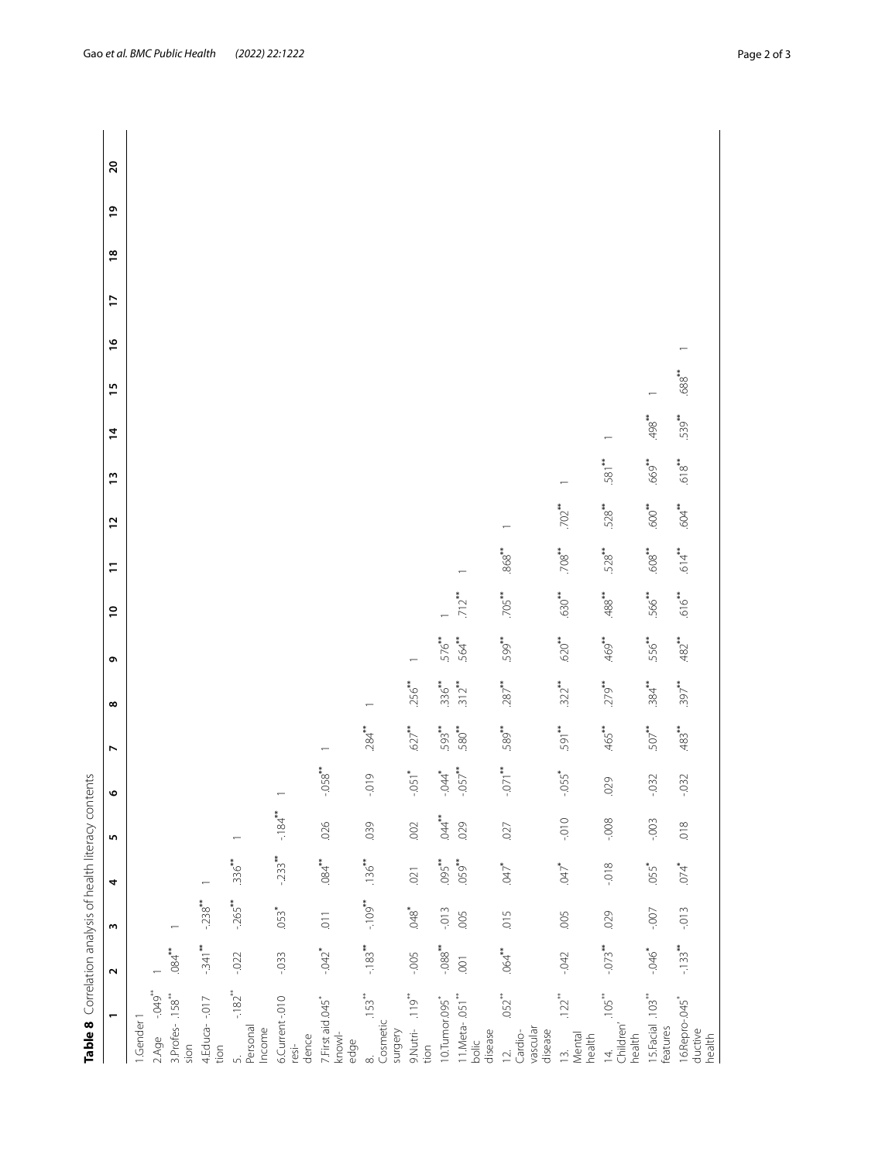<span id="page-1-0"></span>

| Table 8 Correlation analysis of health literacy contents                    |                      |                      |                     |                      |                          |           |           |           |                     |                     |                   |                     |                |            |               |   |               |                |              |
|-----------------------------------------------------------------------------|----------------------|----------------------|---------------------|----------------------|--------------------------|-----------|-----------|-----------|---------------------|---------------------|-------------------|---------------------|----------------|------------|---------------|---|---------------|----------------|--------------|
| $\overline{ }$                                                              | $\sim$               | ω                    | 4                   | 5                    | ۰                        | N         | ∞         | ō         | $\tilde{a}$         | $\overline{ }$      | 51                | $\frac{1}{2}$       | $\overline{4}$ | 15         | $\frac{9}{2}$ | F | $\frac{8}{2}$ | $\overline{6}$ | $\mathbf{S}$ |
| 1.Gender 1                                                                  |                      |                      |                     |                      |                          |           |           |           |                     |                     |                   |                     |                |            |               |   |               |                |              |
| $+949$<br>2.Age                                                             |                      |                      |                     |                      |                          |           |           |           |                     |                     |                   |                     |                |            |               |   |               |                |              |
| 3.Profes-158**<br>sion                                                      | $.084$ **            |                      |                     |                      |                          |           |           |           |                     |                     |                   |                     |                |            |               |   |               |                |              |
| 4.Educa--017<br>tion                                                        | $-.341$ **           | $-238$               |                     |                      |                          |           |           |           |                     |                     |                   |                     |                |            |               |   |               |                |              |
| $-182$ <sup>**</sup><br>5.<br>Personal<br>Income                            | $-0.022$             | $-265$ <sup>**</sup> | $336***$            |                      |                          |           |           |           |                     |                     |                   |                     |                |            |               |   |               |                |              |
| 6.Current-.010<br>dence<br>resi-                                            | $-0.033$             | $053*$               | $-233$              | $-184$ <sup>**</sup> | $\overline{\phantom{0}}$ |           |           |           |                     |                     |                   |                     |                |            |               |   |               |                |              |
| 7. First aid .045<br>$km$ owl-<br>edge                                      | $-0.042$             | $\overline{0}$       | 84                  | .026                 | $-058$                   |           |           |           |                     |                     |                   |                     |                |            |               |   |               |                |              |
| $.153$ <sup>**</sup><br>8.<br>Cosmetic<br>surgery                           | $-.183**$            | $-109$ **            | $.136***$           | 039                  | $-0.019$                 | $.284***$ |           |           |                     |                     |                   |                     |                |            |               |   |               |                |              |
| 119<br>9.Nutri-<br>tion                                                     | $-005$               | 648                  | .021                | .002                 | $-0.051$ <sup>*</sup>    | $627$ **  | 256**     |           |                     |                     |                   |                     |                |            |               |   |               |                |              |
| 10.Tumor.095*                                                               | $-088$ <sup>**</sup> | $-013$               | $.095***$           | $A^*$                |                          | 593**     | $336***$  | 576**     |                     |                     |                   |                     |                |            |               |   |               |                |              |
| 11.Meta- .051 <sup>**</sup><br>bolic<br>disease                             | $\overline{0}$       | .005                 | .059**              | 029                  | $-044$<br>$-057$         | 580**     | $312**$   | 564**     | $.712$ **           |                     |                   |                     |                |            |               |   |               |                |              |
| $.052$ <sup>**</sup><br>vascular<br>disease<br>Cardio-<br>$\bar{\supseteq}$ | $.064$ **            | $-015$               | $*$                 | .027                 | 071                      | .589**    | $.287$ ** | 599**     | $.705$ **           | $868$ <sup>**</sup> |                   |                     |                |            |               |   |               |                |              |
| .122<br>Mental<br>health<br>$\Xi$                                           | $-042$               | .005                 | $\mu_{\rm CO}$      | $-010 -$             | $-0.055$ <sup>*</sup>    | 591**     | $.322***$ | .620**    | $630**$             | $708$ **            | $702$ **          |                     |                |            |               |   |               |                |              |
| $.105$ <sup>**</sup><br>Children'<br>health<br>$\overline{4}$               | $-0.073$             | .029                 | $-0.018$            | $-0.08$              | .029                     | .465**    | $.279***$ | .469**    | $488$ <sup>**</sup> | 528                 | $.528***$         | 581**               |                |            |               |   |               |                |              |
| 15.Facial .103**<br>features                                                | $-0.46$              | $-00 -$              | $055$ <sup>*</sup>  | $-0.003$             | $-0.32$                  | $507***$  | $.384$ ** | 556**     | .566**              | 608**               | 600 <sup>**</sup> | .669"               | $*864$         |            |               |   |               |                |              |
| 16. Repro-. 045*<br>ductive<br>health                                       | $-133$               | $-0.013$             | $.074$ <sup>*</sup> | 018                  | $-0.32$                  | $483**$   | $397***$  | $.482***$ | .616                | .614                | $604***$          | $618$ <sup>**</sup> | .539**         | $688^{**}$ |               |   |               |                |              |